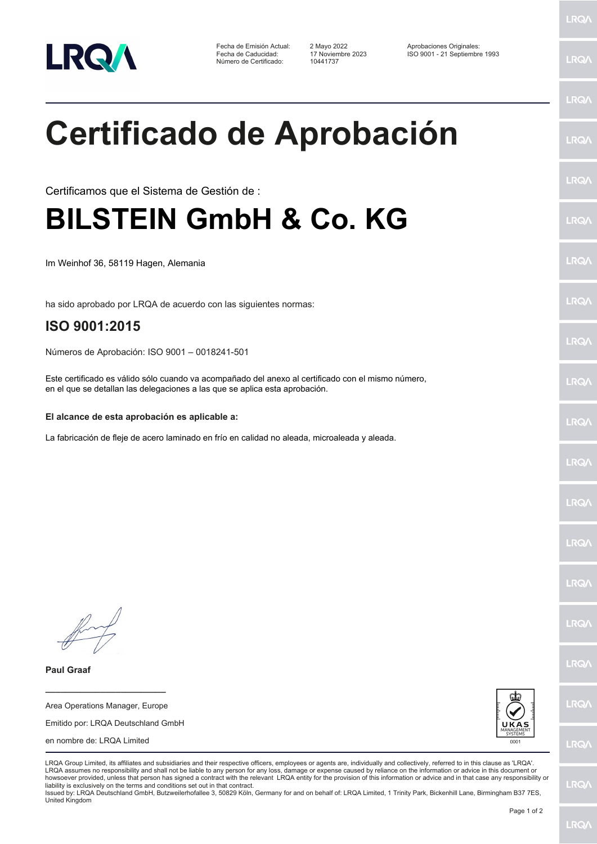

Fecha de Emisión Actual: 2 Mayo 2022 Aprobaciones Originales: Número de Certificado:

Fecha de Caducidad: 17 Noviembre 2023 ISO 9001 - 21 Septiembre 1993

LRQ/

LRQ/

LRQ/

LRQ/

LRQ/

LRQ/

LRQ/

LRQ/

**LRQA** 

LRQ/

LRQ/

LRQ/

LRQ/

**LRQ/** 

LRQ/

**IRQA** 

LRQ/

LRQ/

**LRQ/** 

LRQ/

## **Certificado de Aprobación**

Certificamos que el Sistema de Gestión de :

## **BILSTEIN GmbH & Co. KG**

Im Weinhof 36, 58119 Hagen, Alemania

ha sido aprobado por LRQA de acuerdo con las siguientes normas:

## **ISO 9001:2015**

Números de Aprobación: ISO 9001 – 0018241-501

Este certificado es válido sólo cuando va acompañado del anexo al certificado con el mismo número, en el que se detallan las delegaciones a las que se aplica esta aprobación.

## **El alcance de esta aprobación es aplicable a:**

La fabricación de fleje de acero laminado en frío en calidad no aleada, microaleada y aleada.

**Paul Graaf**

**\_\_\_\_\_\_\_\_\_\_\_\_\_\_\_\_\_\_\_\_\_\_\_\_** Area Operations Manager, Europe

Emitido por: LRQA Deutschland GmbH

en nombre de: LRQA Limited



LRQA Group Limited, its affiliates and subsidiaries and their respective officers, employees or agents are, individually and collectively, referred to in this clause as 'LRQA'. LRQA assumes no responsibility and shall not be liable to any person for any loss, damage or expense caused by reliance on the information or advice in this document or howsoever provided, unless that person has signed a contract with the relevant LRQA entity for the provision of this information or advice and in that case any responsibility or liability is exclusively on the terms and conditions set out in that contract.

Issued by: LRQA Deutschland GmbH, Butzweilerhofallee 3, 50829 Köln, Germany for and on behalf of: LRQA Limited, 1 Trinity Park, Bickenhill Lane, Birmingham B37 7ES, United Kingdom